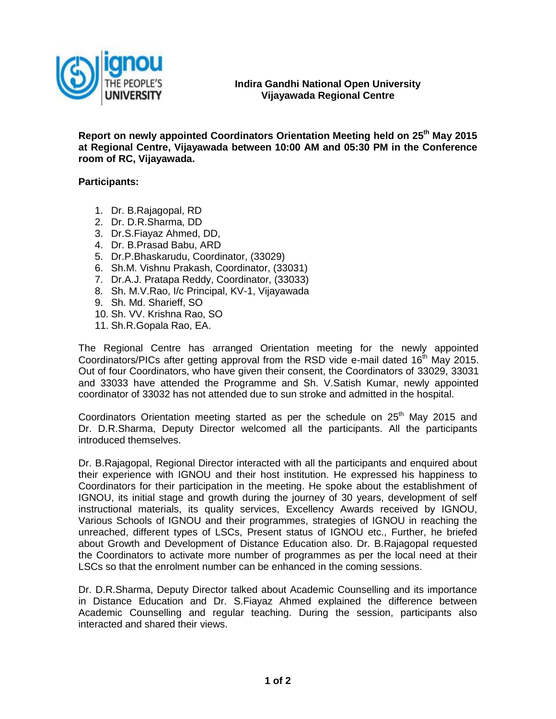

**Report on newly appointed Coordinators Orientation Meeting held on 25 th May 2015 at Regional Centre, Vijayawada between 10:00 AM and 05:30 PM in the Conference room of RC, Vijayawada.**

**Participants:**

- 1. Dr. B.Rajagopal, RD
- 2. Dr. D.R.Sharma, DD
- 3. Dr.S.Fiayaz Ahmed, DD,
- 4. Dr. B.Prasad Babu, ARD
- 5. Dr.P.Bhaskarudu, Coordinator, (33029)
- 6. Sh.M. Vishnu Prakash, Coordinator, (33031)
- 7. Dr.A.J. Pratapa Reddy, Coordinator, (33033)
- 8. Sh. M.V.Rao, I/c Principal, KV-1, Vijayawada
- 9. Sh. Md. Sharieff, SO
- 10. Sh. VV. Krishna Rao, SO
- 11. Sh.R.Gopala Rao, EA.

The Regional Centre has arranged Orientation meeting for the newly appointed Coordinators/PICs after getting approval from the RSD vide e-mail dated  $16<sup>th</sup>$  May 2015. Out of four Coordinators, who have given their consent, the Coordinators of 33029, 33031 and 33033 have attended the Programme and Sh. V.Satish Kumar, newly appointed coordinator of 33032 has not attended due to sun stroke and admitted in the hospital.

Coordinators Orientation meeting started as per the schedule on  $25<sup>th</sup>$  May 2015 and Dr. D.R.Sharma, Deputy Director welcomed all the participants. All the participants introduced themselves.

Dr. B.Rajagopal, Regional Director interacted with all the participants and enquired about their experience with IGNOU and their host institution. He expressed his happiness to Coordinators for their participation in the meeting. He spoke about the establishment of IGNOU, its initial stage and growth during the journey of 30 years, development of self instructional materials, its quality services, Excellency Awards received by IGNOU, Various Schools of IGNOU and their programmes, strategies of IGNOU in reaching the unreached, different types of LSCs, Present status of IGNOU etc., Further, he briefed about Growth and Development of Distance Education also. Dr. B.Rajagopal requested the Coordinators to activate more number of programmes as per the local need at their LSCs so that the enrolment number can be enhanced in the coming sessions.

Dr. D.R.Sharma, Deputy Director talked about Academic Counselling and its importance in Distance Education and Dr. S.Fiayaz Ahmed explained the difference between Academic Counselling and regular teaching. During the session, participants also interacted and shared their views.